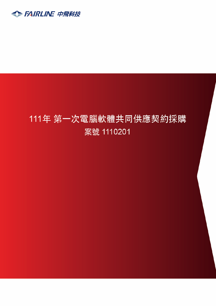

# 111年 第一次電腦軟體共同供應契約採購 案號 1110201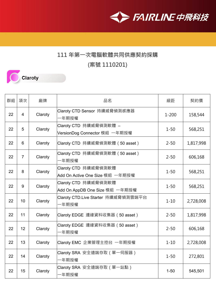

#### **111 年第一次電腦軟體共同供應契約採購**

**(案號 1110201)**



| 群組 | 項次              | 廠牌      | 品名                                                      | 級距        | 契約價       |
|----|-----------------|---------|---------------------------------------------------------|-----------|-----------|
| 22 | $\overline{4}$  | Claroty | Claroty CTD Sensor 持續威脅偵測感應器<br>一年期授權                   | $1 - 200$ | 158,544   |
| 22 | 5               | Claroty | Claroty CTD 持續威脅偵測軟體 -<br>VersionDog Connector 模組 一年期授權 | $1 - 50$  | 568,251   |
| 22 | 6               | Claroty | Claroty CTD 持續威脅偵測軟體 (50 asset)                         | $2 - 50$  | 1,817,998 |
| 22 | $\overline{7}$  | Claroty | Claroty CTD  持續威脅偵測軟體(50 asset)<br>一年期授權                | $2 - 50$  | 606,168   |
| 22 | 8               | Claroty | Claroty CTD 持續威脅偵測軟體<br>Add On Active One Size 模組 一年期授權 | $1 - 50$  | 568,251   |
| 22 | 9               | Claroty | Claroty CTD 持續威脅偵測軟體<br>Add On AppDB One Size 模組 一年期授權  | $1 - 50$  | 568,251   |
| 22 | 10 <sup>1</sup> | Claroty | Claroty CTD.Live Starter 持續威脅偵測雲端平台<br>一年期授權            | $1 - 10$  | 2,728,008 |
| 22 | 11              | Claroty | Claroty EDGE 邊緣資料收集器(50 asset)                          | $2 - 50$  | 1,817,998 |
| 22 | 12              | Claroty | Claroty EDGE 邊緣資料收集器(50 asset)<br>一年期授權                 | $2 - 50$  | 606,168   |
| 22 | 13              | Claroty | Claroty EMC 企業管理主控台 一年期授權                               | $1 - 10$  | 2,728,008 |
| 22 | 14              | Claroty | Claroty SRA 安全遠端存取(單一伺服器)<br>-年期授權                      | $1 - 50$  | 272,801   |
| 22 | 15              | Claroty | Claroty SRA 安全遠端存取(單一站點)<br>−年期授權                       | $1 - 50$  | 545,501   |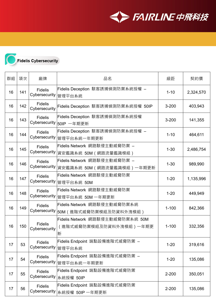



## **Fidelis Cybersecurity**

| 群組 | 項次  | 廠牌                                       | 品名                                                                    | 級距        | 契約價       |
|----|-----|------------------------------------------|-----------------------------------------------------------------------|-----------|-----------|
| 16 | 141 | <b>Fidelis</b><br>Cybersecurity   管理平台系統 | Fidelis Deception 駭客誘捕偵測防禦系統授權 –                                      | $1 - 10$  | 2,324,570 |
| 16 | 142 | <b>Fidelis</b><br>Cybersecurity          | Fidelis Deception 駭客誘捕偵測防禦系統授權 50IP                                   | $3 - 200$ | 403,943   |
| 16 | 143 | <b>Fidelis</b>                           | Fidelis Deception 駭客誘捕偵測防禦系統授權<br>Cybersecurity  50IP 一年期更新           | $3 - 200$ | 141,355   |
| 16 | 144 | <b>Fidelis</b><br>Cybersecurity          | Fidelis Deception 駭客誘捕偵測防禦系統授權 –<br>管理平台系統一年期更新                       | $1 - 10$  | 464,611   |
| 16 | 145 | <b>Fidelis</b><br>Cybersecurity          | Fidelis Network 網路駭侵主動威脅防禦 -<br> 資安鑑識系統 50M(網路流量鑑識模組)                 | $1 - 30$  | 2,486,754 |
| 16 | 146 | <b>Fidelis</b><br>Cybersecurity          | Fidelis Network 網路駭侵主動威脅防禦 -<br> 資安鑑識系統 50M(網路流量鑑識模組)一年期更新            | $1 - 30$  | 989,990   |
| 16 | 147 | <b>Fidelis</b><br>Cybersecurity          | Fidelis Network 網路駭侵主動威脅防禦<br>管理平台系統 50M                              | $1 - 20$  | 1,135,996 |
| 16 | 148 | <b>Fidelis</b><br>Cybersecurity          | Fidelis Network 網路駭侵主動威脅防禦<br>管理平台系統 50M 一年期更新                        | $1 - 20$  | 449,949   |
| 16 | 149 | <b>Fidelis</b>                           | Fidelis Network 網路駭侵主動威脅防禦系統<br>Cybersecurity  50M(進階式威脅防禦模組及防資料外洩模組) | $1 - 100$ | 842,366   |
| 16 | 150 | <b>Fidelis</b><br>Cybersecurity          | Fidelis Network 網路駭侵主動威脅防禦系統 50M<br>(進階式威脅防禦模組及防資料外洩模組)一年期更<br>新      | $1 - 100$ | 332,356   |
| 17 | 53  | <b>Fidelis</b><br>Cybersecurity  管理平台系統  | Fidelis Endpoint 端點設備進階式威脅防禦 –                                        | $1 - 20$  | 319,616   |
| 17 | 54  | <b>Fidelis</b><br>Cybersecurity          | Fidelis Endpoint 端點設備進階式威脅防禦 –<br> 管理平台系統一年期更新                        | $1 - 20$  | 135,086   |
| 17 | 55  | <b>Fidelis</b>                           | Fidelis Endpoint 端點設備進階式威脅防禦<br>Cybersecurity 系統授權 50IP               | $2 - 200$ | 350,051   |
| 17 | 56  | <b>Fidelis</b>                           | Fidelis Endpoint 端點設備進階式威脅防禦<br>Cybersecurity 系統授權 50IP 一年期更新         | $2 - 200$ | 135,086   |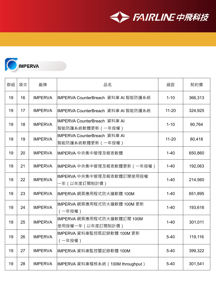



| 群組 | 項次 | 廠牌             | 品名                                                | 級距        | 契約價     |
|----|----|----------------|---------------------------------------------------|-----------|---------|
| 19 | 16 | <b>IMPERVA</b> | IMPERVA CounterBreach 資料庫 AI 智能防護系統               | $1 - 10$  | 366,313 |
| 19 | 17 | <b>IMPERVA</b> | IMPERVA CounterBreach 資料庫 AI 智能防護系統               | $11 - 20$ | 324,925 |
| 19 | 18 | <b>IMPERVA</b> | IMPERVA CounterBreach 資料庫 AI<br> 智能防護系統軟體更新(一年授權) | $1 - 10$  | 90,764  |
| 19 | 19 | <b>IMPERVA</b> | IMPERVA CounterBreach 資料庫 AI<br> 智能防護系統軟體更新(一年授權) | $11 - 20$ | 80,418  |
| 19 | 20 | <b>IMPERVA</b> | IMPERVA 中央集中管理及報表軟體                               | $1 - 40$  | 650,860 |
| 19 | 21 | <b>IMPERVA</b> | IMPERVA 中央集中管理及報表軟體更新(一年授權)                       | $1 - 40$  | 192,063 |
| 19 | 22 | <b>IMPERVA</b> | IMPERVA 中央集中管理及報表軟體訂閱使用授權<br>-年(以年度訂閱制計價)         | $1 - 40$  | 214,560 |
| 19 | 23 | <b>IMPERVA</b> | IMPERVA 網頁應用程式防火牆軟體 100M                          | $1 - 40$  | 651,895 |
| 19 | 24 | <b>IMPERVA</b> | IMPERVA 網頁應用程式防火牆軟體 100M 更新<br>(一年授權)             | $1 - 40$  | 193,616 |
| 19 | 25 | <b>IMPERVA</b> | IMPERVA 網頁應用程式防火牆軟體訂閱 100M<br> 使用授權一年(以年度訂閱制計價)   | $1 - 40$  | 301,011 |
| 19 | 26 | <b>IMPERVA</b> | IMPERVA 資料庫監控既記錄軟體 100M 更新<br>(一年授權)              | $5 - 40$  | 119,116 |
| 19 | 27 | <b>IMPERVA</b> | IMPERVA 資料庫監控暨記錄軟體 100M                           | $5 - 40$  | 399,322 |
| 19 | 28 | <b>IMPERVA</b> | IMPERVA 資料庫稽核系統 (100M throughput)                 | $5 - 40$  | 301,541 |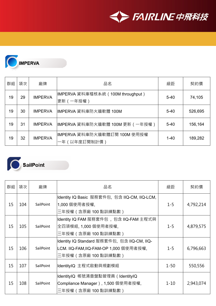



| 群組 | 項次 | 廠牌             | 品名                                            | 級距       | 契約價     |
|----|----|----------------|-----------------------------------------------|----------|---------|
| 19 | 29 | <b>IMPERVA</b> | IMPERVA 資料庫稽核系統(100M throughput)<br>更新 (一年授權) | $5 - 40$ | 74,105  |
| 19 | 30 | <b>IMPERVA</b> | IMPERVA 資料庫防火牆軟體 100M                         | $5 - 40$ | 526,695 |
| 19 | 31 | <b>IMPERVA</b> | IMPERVA 資料庫防火牆軟體 100M 更新 ( 一年授權 )             | $5 - 40$ | 156,164 |
| 19 | 32 | <b>IMPERVA</b> | IMPERVA 資料庫防火牆軟體訂閱 100M 使用授權<br>一年(以年度訂閱制計價)  | $1 - 40$ | 189,282 |



### SailPoint

| 群組 | 項次  | 廠牌        | 品名                                                                                                           | 級距       | 契約價       |
|----|-----|-----------|--------------------------------------------------------------------------------------------------------------|----------|-----------|
| 15 | 104 | SailPoint | Identity IQ Basic 服務套件包, 包含 IIQ-CM, IIQ-LCM,<br>1,000 個使用者授權,<br>三年授權(含原廠 100 點訓練點數)                         | $1 - 5$  | 4,792,214 |
| 15 | 105 | SailPoint | Identity IQ FAM 服務套件包, 包含 IIQ-FAM 主程式與<br>全四項模組, 1,000 個使用者授權,<br>三年授權(含原廠 100 點訓練點數)                        | $1 - 5$  | 4,879,575 |
| 15 | 106 | SailPoint | Identity IQ Standard 服務套件包, 包含 IIQ-CM, IIQ-<br> LCM. IIQ-FAM,IIQ-FAM-OP 1,000 個使用者授權,<br>三年授權(含原廠 100 點訓練點數) | $1 - 5$  | 6,796,663 |
| 15 | 107 | SailPoint | IdentityIQ 主程式啟動與規劃模組                                                                                        | $1 - 50$ | 550,556   |
| 15 | 108 | SailPoint | IdentityIQ 帳號清查盤點管理員(IdentityIQ<br>Compliance Manager), 1,500 個使用者授權,<br>三年授權(含原廠 100 點訓練點數)                 | $1 - 10$ | 2,943,074 |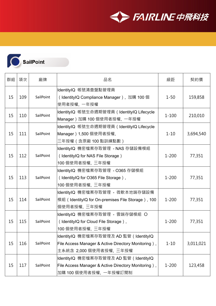

**SailPoint** 

| 群組 | 項次  | 廠牌        | 品名                                                                                                                     | 級距        | 契約價       |
|----|-----|-----------|------------------------------------------------------------------------------------------------------------------------|-----------|-----------|
| 15 | 109 | SailPoint | IdentityIQ 帳號清查盤點管理員<br>(IdentityIQ Compliance Manager), 加購 100 個<br>使用者授權, 一年授權                                       | $1 - 50$  | 159,858   |
| 15 | 110 | SailPoint | IdentityIQ 帳號生命週期管理員 (IdentityIQ Lifecycle<br>Manager) 加購 100 個使用者授權, 一年授權                                             | $1 - 100$ | 210,010   |
| 15 | 111 | SailPoint | IdentityIQ 帳號生命週期管理員 (IdentityIQ Lifecycle<br>Manager)1,500 個使用者授權,<br>三年授權(含原廠 100 點訓練點數)                             | $1 - 10$  | 3,694,540 |
| 15 | 112 | SailPoint | IdentityIQ 機密檔案存取管理 - NAS 存儲設備模組<br>(IdentityIQ for NAS File Storage)<br>100 個使用者授權,三年授權                               | $1 - 200$ | 77,351    |
| 15 | 113 | SailPoint | IdentityIQ 機密檔案存取管理 - O365 存儲模組<br>(IdentityIQ for O365 File Storage),<br>100 個使用者授權,三年授權                              | $1 - 200$ | 77,351    |
| 15 | 114 | SailPoint | IdentityIQ 機密檔案存取管理 - 微軟本地端存儲設備<br>模組 (IdentityIQ for On-premises File Storage), 100<br>個使用者授權, 三年授權                   | $1 - 200$ | 77,351    |
| 15 | 115 | SailPoint | IdentityIQ 機密檔案存取管理 - 雲端存儲模組 O<br>(IdentityIQ for Cloud File Storage),<br>100 個使用者授權,三年授權                              | $1 - 200$ | 77,351    |
| 15 | 116 | SailPoint | IdentityIQ 機密檔案存取管理及 AD 監管(IdentityIQ<br>File Access Manager & Active Directory Monitoring),<br>主系統含 2,000 個使用者授權,三年授權 | $1 - 10$  | 3,011,021 |
| 15 | 117 | SailPoint | IdentityIQ 機密檔案存取管理及 AD 監管 (IdentityIQ<br>File Access Manager & Active Directory Monitoring),<br>加購 100 個使用者授權,一年授權訂閱制 | $1 - 200$ | 123,458   |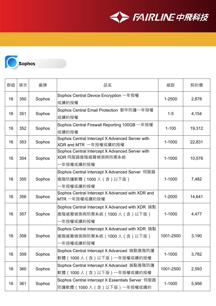



| 群組 | 項次  | 廠牌     | 品名                                                                                         | 級距        | 契約價    |
|----|-----|--------|--------------------------------------------------------------------------------------------|-----------|--------|
| 16 | 350 | Sophos | Sophos Central Device Encryption 一年授權<br>或續約授權                                             | 1-2500    | 2,878  |
| 16 | 351 | Sophos | Sophos Central Email Protection 郵件防護一年授權<br>或續約授權                                          | $1 - 5$   | 4,154  |
| 16 | 352 | Sophos | Sophos Central Firewall Reporting 100GB 一年授權<br>或續約授權                                      | $1 - 100$ | 19,312 |
| 16 | 353 | Sophos | Sophos Central Intercept X Advanced Server with<br>XDR and MTR 一年授權或續約授權                   | 1-1000    | 22,831 |
| 16 | 354 | Sophos | Sophos Central Intercept X Advanced Server with<br>XDR 伺服器進階威脅偵測與防禦系統<br>-年授權或續約授權         | 1-1000    | 10,576 |
| 16 | 355 | Sophos | Sophos Central Intercept X Advanced Server 伺服器<br> 進階防護軟體(1000 人(含)以下版)<br>·年授權或續約授權       | 1-1000    | 7,482  |
| 16 | 356 | Sophos | Sophos Central Intercept X Advanced with XDR and<br>MTR 一年授權或續約授權                          | 1-2000    | 14,641 |
| 16 | 357 | Sophos | Sophos Central Intercept X Advanced with XDR 端點<br> 進階威脅偵測與防禦系統(1000 人(含)以下版)<br>-年授權或續約授權 | 1-1000    | 4,477  |
| 16 | 358 | Sophos | Sophos Central Intercept X Advanced with XDR 端點<br>進階威脅偵測與防禦系統 (1000人 (含)以下版)<br>-年授權或續約授權 | 1001-2500 | 3,190  |
| 16 | 359 | Sophos | Sophos Central Intercept X Advanced 端點進階防護<br> 軟體(1000 人(含)以下版)一年授權或續約授權                   | 1-1000    | 3,782  |
| 16 | 360 | Sophos | Sophos Central Intercept X Advanced 端點進階防護<br> 軟體(1000 人(含)以下版)一年授權或續約授權                   | 1001-2500 | 2,593  |
| 16 | 361 | Sophos | Sophos Central Intercept X Essentials Server 伺服器<br> 防護軟體(1000 人(含)以下版)一年授權或續約             | 1-1000    | 5,956  |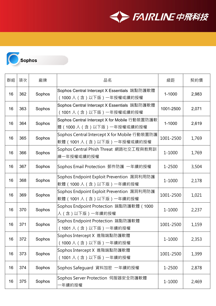

| 群組 | 項次  | 廠牌     | 品名                                                                          | 級距        | 契約價   |
|----|-----|--------|-----------------------------------------------------------------------------|-----------|-------|
| 16 | 362 | Sophos | Sophos Central Intercept X Essentials 端點防護軟體<br>(1000 人(含)以下版)一年授權或續約授權     | 1-1000    | 2,983 |
| 16 | 363 | Sophos | Sophos Central Intercept X Essentials 端點防護軟體<br>(1001人 (含)以下版) 一年授權或續約授權    | 1001-2500 | 2,071 |
| 16 | 364 | Sophos | Sophos Central Intercept X for Mobile 行動裝置防護軟<br>體(1000 人(含)以下版)一年授權或續約授權   | 1-1000    | 2,619 |
| 16 | 365 | Sophos | Sophos Central Intercept X for Mobile 行動裝置防護<br>軟體 (1001人 (含)以下版) 一年授權或續約授權 | 1001-2500 | 1,769 |
| 16 | 366 | Sophos | Sophos Central Phish Threat 網路社交工程與教育訓<br>練一年授權或續約授權                        | 1-1000    | 1,769 |
| 16 | 367 | Sophos | Sophos Email Protection 郵件防護 一年續約授權                                         | 1-2500    | 3,504 |
| 16 | 368 | Sophos | Sophos Endpoint Exploit Prevention 漏洞利用防護<br> 軟體(1000 人(含)以下版)一年續約授權        | 1-1000    | 2,178 |
| 16 | 369 | Sophos | Sophos Endpoint Exploit Prevention 漏洞利用防護<br> 軟體(1001 人(含)以下版)一年續約授權        | 1001-2500 | 1,021 |
| 16 | 370 | Sophos | Sophos Endpoint Protection 端點防護軟體 (1000<br>人(含)以下版)一年續約授權                   | 1-1000    | 2,237 |
| 16 | 371 | Sophos | Sophos Endpoint Protection 端點防護軟體<br>(1001人 (含)以下版)一年續約授權                   | 1001-2500 | 1,159 |
| 16 | 372 | Sophos | Sophos Intercept X 進階端點防護軟體<br>(1000人(含)以下版)一年續約授權                          | 1-1000    | 2,353 |
| 16 | 373 | Sophos | Sophos Intercept X 進階端點防護軟體<br>(1001人 (含)以下版) 一年續約授權                        | 1001-2500 | 1,399 |
| 16 | 374 | Sophos | Sophos Safeguard 資料加密 一年續約授權                                                | 1-2500    | 2,878 |
| 16 | 375 | Sophos | Sophos Server Protection 伺服器安全防護軟體<br>年續約授權                                 | 1-1000    | 2,469 |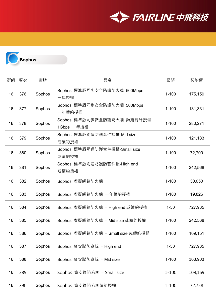



| 群組 | 項次  | 廠牌     | 品名                                       | 級距        | 契約價     |
|----|-----|--------|------------------------------------------|-----------|---------|
| 16 | 376 | Sophos | Sophos 標準版同步安全防護防火牆 500Mbps<br>-年授權      | $1 - 100$ | 175,159 |
| 16 | 377 | Sophos | Sophos 標準版同步安全防護防火牆 500Mbps<br>-年續約授權    | $1 - 100$ | 131,331 |
| 16 | 378 | Sophos | Sophos 標準版同步安全防護防火牆 頻寬提升授權<br>1Gbps 一年授權 | $1 - 100$ | 280,271 |
| 16 | 379 | Sophos | Sophos 標準版閘道防護套件授權-Mid size<br>或續約授權     | $1 - 100$ | 121,183 |
| 16 | 380 | Sophos | Sophos 標準版閘道防護套件授權-Small size<br>或續約授權   | $1 - 100$ | 72,700  |
| 16 | 381 | Sophos | Sophos 標準版閘道防護防套件授-High end<br> 或續約授權    | $1 - 100$ | 242,568 |
| 16 | 382 | Sophos | Sophos 虛擬網路防火牆                           | $1 - 100$ | 30,050  |
| 16 | 383 | Sophos | Sophos 虛擬網路防火牆 一年續約授權                    | $1 - 100$ | 19,826  |
| 16 | 384 | Sophos | Sophos 虛擬網路防火牆 −High end 或續約授權           | $1 - 50$  | 727,935 |
| 16 | 385 | Sophos | Sophos 虛擬網路防火牆 - Mid size 或續約授權          | $1 - 100$ | 242,568 |
| 16 | 386 | Sophos | Sophos 虛擬網路防火牆 - Small size 或續約授權        | $1 - 100$ | 109,151 |
| 16 | 387 | Sophos | Sophos 資安聯防系統 - High end                 | $1 - 50$  | 727,935 |
| 16 | 388 | Sophos | Sophos 資安聯防系統 - Mid size                 | $1 - 100$ | 363,903 |
| 16 | 389 | Sophos | Sophos 資安聯防系統 – Small size               | $1 - 100$ | 109,169 |
| 16 | 390 | Sophos | Sophos 資安聯防系統續約授權                        | $1 - 100$ | 72,758  |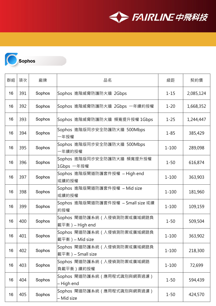



| 群組 | 項次  | 廠牌     | 品名                                                | 級距        | 契約價       |
|----|-----|--------|---------------------------------------------------|-----------|-----------|
| 16 | 391 | Sophos | Sophos 進階威脅防護防火牆 2Gbps                            | $1 - 15$  | 2,085,124 |
| 16 | 392 | Sophos | Sophos 進階威脅防護防火牆 2Gbps 一年續約授權                     | $1 - 20$  | 1,668,352 |
| 16 | 393 | Sophos | Sophos 進階威脅防護防火牆 頻寬提升授權 1Gbps                     | $1 - 25$  | 1,244,447 |
| 16 | 394 | Sophos | Sophos 進階版同步安全防護防火牆 500Mbps<br>一年授權               | $1 - 85$  | 385,429   |
| 16 | 395 | Sophos | Sophos 進階版同步安全防護防火牆 500Mbps<br>-年續約授權             | $1 - 100$ | 289,098   |
| 16 | 396 | Sophos | Sophos 進階版同步安全防護防火牆 頻寬提升授權<br>1Gbps 一年授權          | $1 - 50$  | 616,874   |
| 16 | 397 | Sophos | Sophos 進階版閘道防護套件授權 - High end<br>或續約授權            | $1 - 100$ | 363,903   |
| 16 | 398 | Sophos | Sophos 進階版閘道防護套件授權 - Mid size<br> 或續約授權           | $1 - 100$ | 181,960   |
| 16 | 399 | Sophos | Sophos 進階版閘道防護套件授權 - Small size 或續<br>約授權         | $1 - 100$ | 109,159   |
| 16 | 400 | Sophos | Sophos 閘道防護系統 ( 入侵偵測防禦或廣域網路負<br> 載平衡) – High end  | $1 - 50$  | 509,504   |
| 16 | 401 | Sophos | Sophos 閘道防護系統 ( 入侵偵測防禦或廣域網路負<br> 載平衡)— Mid size   | $1 - 100$ | 363,902   |
| 16 | 402 | Sophos | Sophos 閘道防護系統 ( 入侵偵測防禦或廣域網路負<br> 載平衡)– Small size | $1 - 100$ | 218,300   |
| 16 | 403 | Sophos | Sophos 閘道防護系統 ( 入侵偵測防禦或廣域網路<br> 負載平衡)續約授權         | $1 - 100$ | 72,699    |
| 16 | 404 | Sophos | Sophos 閘道防護系統(應用程式識別與網頁過濾)<br>– High end          | $1 - 50$  | 594,439   |
| 16 | 405 | Sophos | Sophos 閘道防護系統(應用程式識別與網頁過濾)<br>– Mid size          | $1 - 50$  | 424,570   |